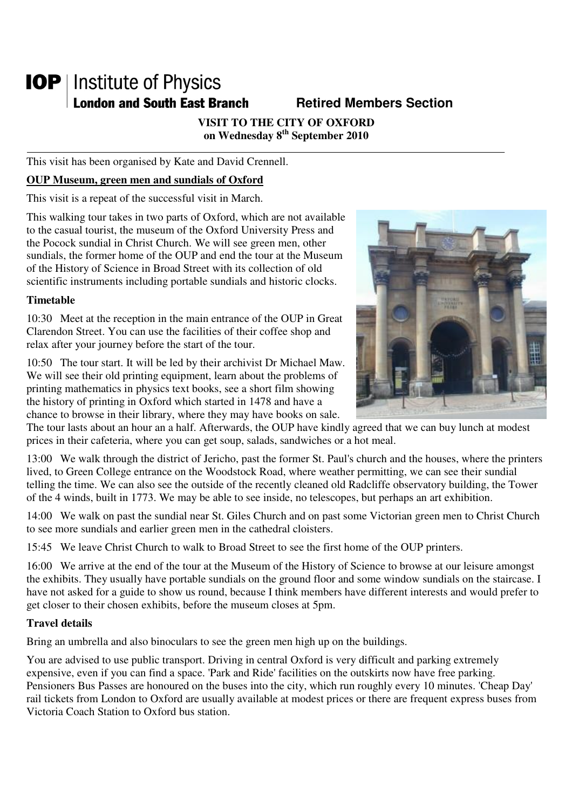# **IOP** | Institute of Physics **London and South East Branch Fig. 3. Retired Members Section**

**VISIT TO THE CITY OF OXFORD on Wednesday 8th September 2010** 

This visit has been organised by Kate and David Crennell.

## **OUP Museum, green men and sundials of Oxford**

This visit is a repeat of the successful visit in March.

This walking tour takes in two parts of Oxford, which are not available to the casual tourist, the museum of the Oxford University Press and the Pocock sundial in Christ Church. We will see green men, other sundials, the former home of the OUP and end the tour at the Museum of the History of Science in Broad Street with its collection of old scientific instruments including portable sundials and historic clocks.

## **Timetable**

10:30 Meet at the reception in the main entrance of the OUP in Great Clarendon Street. You can use the facilities of their coffee shop and relax after your journey before the start of the tour.





The tour lasts about an hour an a half. Afterwards, the OUP have kindly agreed that we can buy lunch at modest prices in their cafeteria, where you can get soup, salads, sandwiches or a hot meal.

13:00 We walk through the district of Jericho, past the former St. Paul's church and the houses, where the printers lived, to Green College entrance on the Woodstock Road, where weather permitting, we can see their sundial telling the time. We can also see the outside of the recently cleaned old Radcliffe observatory building, the Tower of the 4 winds, built in 1773. We may be able to see inside, no telescopes, but perhaps an art exhibition.

14:00 We walk on past the sundial near St. Giles Church and on past some Victorian green men to Christ Church to see more sundials and earlier green men in the cathedral cloisters.

15:45 We leave Christ Church to walk to Broad Street to see the first home of the OUP printers.

16:00 We arrive at the end of the tour at the Museum of the History of Science to browse at our leisure amongst the exhibits. They usually have portable sundials on the ground floor and some window sundials on the staircase. I have not asked for a guide to show us round, because I think members have different interests and would prefer to get closer to their chosen exhibits, before the museum closes at 5pm.

## **Travel details**

Bring an umbrella and also binoculars to see the green men high up on the buildings.

You are advised to use public transport. Driving in central Oxford is very difficult and parking extremely expensive, even if you can find a space. 'Park and Ride' facilities on the outskirts now have free parking. Pensioners Bus Passes are honoured on the buses into the city, which run roughly every 10 minutes. 'Cheap Day' rail tickets from London to Oxford are usually available at modest prices or there are frequent express buses from Victoria Coach Station to Oxford bus station.